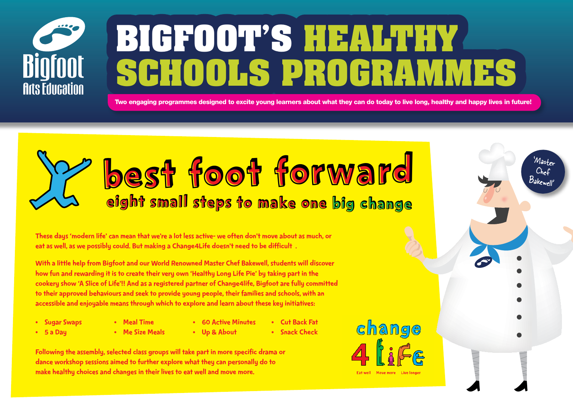

# **Bigfoot's Healthy Schools Programmes**

Two engaging programmes designed to excite young learners about what they can do today to live long, healthy and happy lives in future!

## Best Foot Forward eight small steps to make one big change

These days'modern life' can mean that we're a lot less active- we often don't move about as much, or eat as well, as we possibly could. But making a Change4Life doesn't need to be difficult.

With a little help from Bigfoot and our World Renowned Master Chef Bakewell, students will discover how fun and rewarding it is to create their very own 'Healthy Long Life Pie' by taking part in the cookery show 'A Slice of Life'!! And as a registered partner of Change4life, Bigfoot are fully committed to their approved behaviours and seek to provide young people, their families and schools, with an accessible and enjoyable means through which to explore and learn about these key initiatives:

- • Sugar Swaps
- • 5 a Day
- • Meal Time
	- Me Size Meals
- • 60 Active Minutes • Up & About
- • Cut Back Fat • Snack Check

Following the assembly, selected class groups will take part in more specific drama or dance workshop sessions aimed to further explore what they can personally do to make healthy choices and changes in their lives to eat well and move more.



'Master Chef Bakewell'

Eat well Move more Live le